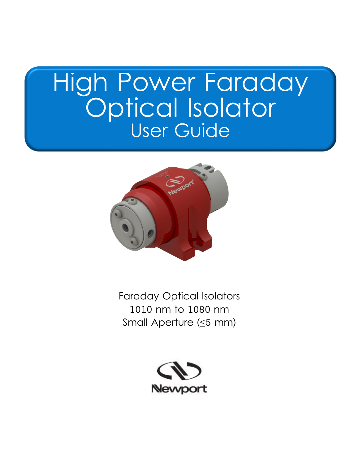# High Power Faraday Optical Isolator User Guide



Faraday Optical Isolators 1010 nm to 1080 nm Small Aperture (≤5 mm)

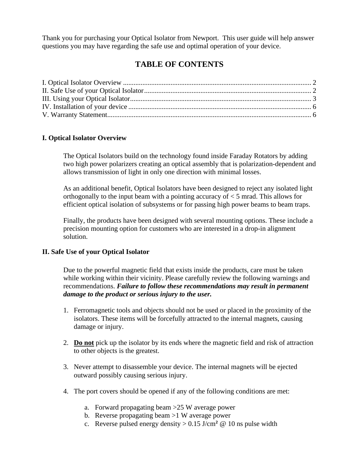Thank you for purchasing your Optical Isolator from Newport. This user guide will help answer questions you may have regarding the safe use and optimal operation of your device.

### **TABLE OF CONTENTS**

#### <span id="page-1-0"></span>**I. Optical Isolator Overview**

The Optical Isolators build on the technology found inside Faraday Rotators by adding two high power polarizers creating an optical assembly that is polarization-dependent and allows transmission of light in only one direction with minimal losses.

As an additional benefit, Optical Isolators have been designed to reject any isolated light orthogonally to the input beam with a pointing accuracy of < 5 mrad. This allows for efficient optical isolation of subsystems or for passing high power beams to beam traps.

Finally, the products have been designed with several mounting options. These include a precision mounting option for customers who are interested in a drop-in alignment solution.

#### <span id="page-1-1"></span>**II. Safe Use of your Optical Isolator**

Due to the powerful magnetic field that exists inside the products, care must be taken while working within their vicinity. Please carefully review the following warnings and recommendations. *Failure to follow these recommendations may result in permanent damage to the product or serious injury to the user.*

- 1. Ferromagnetic tools and objects should not be used or placed in the proximity of the isolators. These items will be forcefully attracted to the internal magnets, causing damage or injury.
- 2. **Do not** pick up the isolator by its ends where the magnetic field and risk of attraction to other objects is the greatest.
- 3. Never attempt to disassemble your device. The internal magnets will be ejected outward possibly causing serious injury.
- 4. The port covers should be opened if any of the following conditions are met:
	- a. Forward propagating beam >25 W average power
	- b. Reverse propagating beam >1 W average power
	- c. Reverse pulsed energy density  $> 0.15$  J/cm<sup>2</sup> @ 10 ns pulse width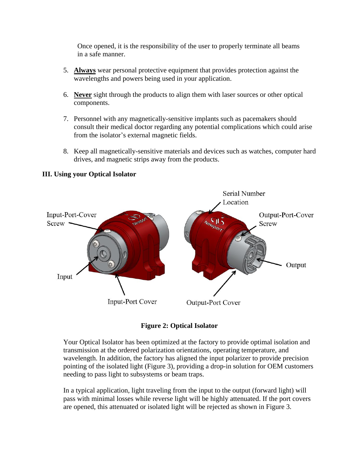Once opened, it is the responsibility of the user to properly terminate all beams in a safe manner.

- 5. **Always** wear personal protective equipment that provides protection against the wavelengths and powers being used in your application.
- 6. **Never** sight through the products to align them with laser sources or other optical components.
- 7. Personnel with any magnetically-sensitive implants such as pacemakers should consult their medical doctor regarding any potential complications which could arise from the isolator's external magnetic fields.
- 8. Keep all magnetically-sensitive materials and devices such as watches, computer hard drives, and magnetic strips away from the products.



#### <span id="page-2-0"></span>**III. Using your Optical Isolator**

**Figure 2: Optical Isolator**

Your Optical Isolator has been optimized at the factory to provide optimal isolation and transmission at the ordered polarization orientations, operating temperature, and wavelength. In addition, the factory has aligned the input polarizer to provide precision pointing of the isolated light (Figure 3), providing a drop-in solution for OEM customers needing to pass light to subsystems or beam traps.

In a typical application, light traveling from the input to the output (forward light) will pass with minimal losses while reverse light will be highly attenuated. If the port covers are opened, this attenuated or isolated light will be rejected as shown in Figure 3.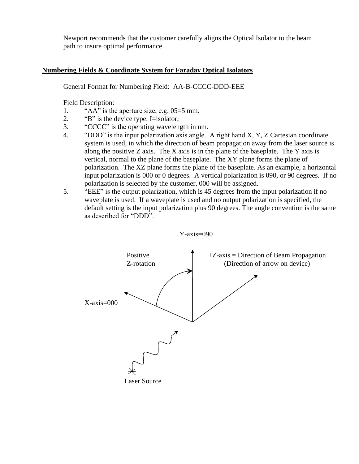Newport recommends that the customer carefully aligns the Optical Isolator to the beam path to insure optimal performance.

#### **Numbering Fields & Coordinate System for Faraday Optical Isolators**

General Format for Numbering Field: AA-B-CCCC-DDD-EEE

Field Description:

- 1. "AA" is the aperture size, e.g. 05=5 mm.
- 2. "B" is the device type. I=isolator;
- 3. "CCCC" is the operating wavelength in nm.
- 4. "DDD" is the input polarization axis angle. A right hand X, Y, Z Cartesian coordinate system is used, in which the direction of beam propagation away from the laser source is along the positive  $Z$  axis. The  $X$  axis is in the plane of the baseplate. The  $Y$  axis is vertical, normal to the plane of the baseplate. The XY plane forms the plane of polarization. The XZ plane forms the plane of the baseplate. As an example, a horizontal input polarization is 000 or 0 degrees. A vertical polarization is 090, or 90 degrees. If no polarization is selected by the customer, 000 will be assigned.
- 5. "EEE" is the output polarization, which is 45 degrees from the input polarization if no waveplate is used. If a waveplate is used and no output polarization is specified, the default setting is the input polarization plus 90 degrees. The angle convention is the same as described for "DDD".



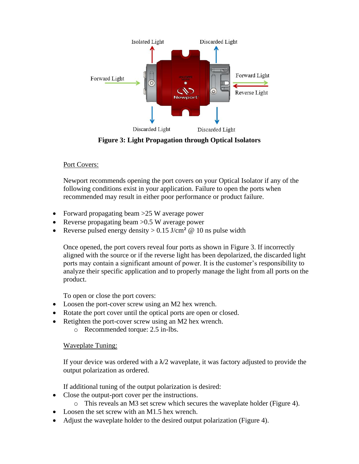

**Figure 3: Light Propagation through Optical Isolators**

#### Port Covers:

Newport recommends opening the port covers on your Optical Isolator if any of the following conditions exist in your application. Failure to open the ports when recommended may result in either poor performance or product failure.

- Forward propagating beam > 25 W average power
- Reverse propagating beam > 0.5 W average power
- Reverse pulsed energy density  $> 0.15$  J/cm<sup>2</sup> @ 10 ns pulse width

Once opened, the port covers reveal four ports as shown in Figure 3. If incorrectly aligned with the source or if the reverse light has been depolarized, the discarded light ports may contain a significant amount of power. It is the customer's responsibility to analyze their specific application and to properly manage the light from all ports on the product.

To open or close the port covers:

- Loosen the port-cover screw using an M2 hex wrench.
- Rotate the port cover until the optical ports are open or closed.
- Retighten the port-cover screw using an M2 hex wrench.
	- o Recommended torque: 2.5 in-lbs.

#### Waveplate Tuning:

If your device was ordered with a  $\lambda/2$  waveplate, it was factory adjusted to provide the output polarization as ordered.

If additional tuning of the output polarization is desired:

- Close the output-port cover per the instructions.
	- o This reveals an M3 set screw which secures the waveplate holder (Figure 4).
- Loosen the set screw with an M1.5 hex wrench.
- Adjust the waveplate holder to the desired output polarization (Figure 4).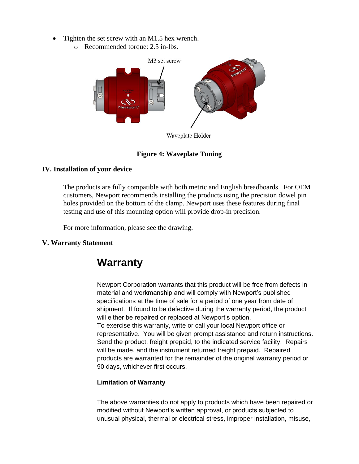- Tighten the set screw with an M1.5 hex wrench.
	- o Recommended torque: 2.5 in-lbs.



Waveplate Holder

#### **Figure 4: Waveplate Tuning**

#### <span id="page-5-0"></span>**IV. Installation of your device**

The products are fully compatible with both metric and English breadboards. For OEM customers, Newport recommends installing the products using the precision dowel pin holes provided on the bottom of the clamp. Newport uses these features during final testing and use of this mounting option will provide drop-in precision.

For more information, please see the drawing.

#### <span id="page-5-1"></span>**V. Warranty Statement**

## **Warranty**

Newport Corporation warrants that this product will be free from defects in material and workmanship and will comply with Newport's published specifications at the time of sale for a period of one year from date of shipment. If found to be defective during the warranty period, the product will either be repaired or replaced at Newport's option. To exercise this warranty, write or call your local Newport office or representative. You will be given prompt assistance and return instructions. Send the product, freight prepaid, to the indicated service facility. Repairs will be made, and the instrument returned freight prepaid. Repaired products are warranted for the remainder of the original warranty period or 90 days, whichever first occurs.

#### **Limitation of Warranty**

The above warranties do not apply to products which have been repaired or modified without Newport's written approval, or products subjected to unusual physical, thermal or electrical stress, improper installation, misuse,